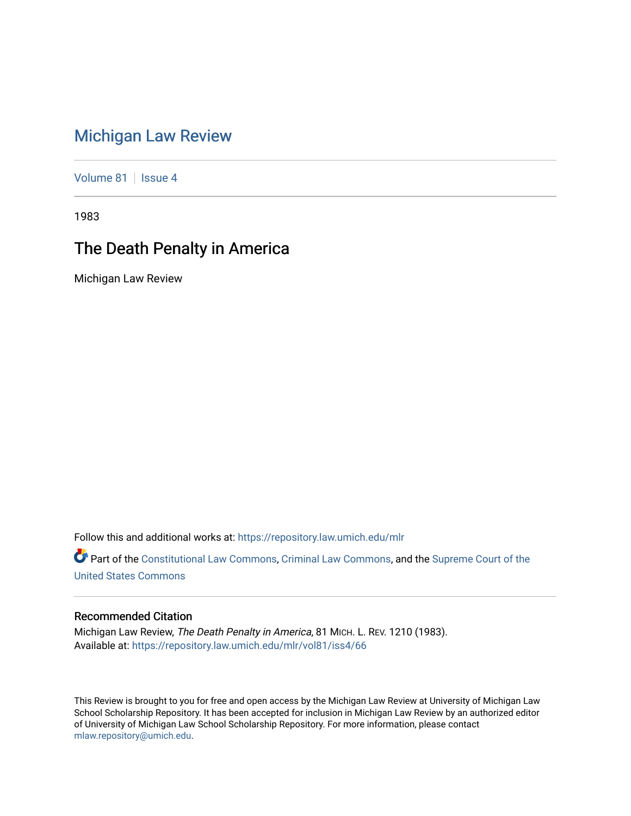## [Michigan Law Review](https://repository.law.umich.edu/mlr)

[Volume 81](https://repository.law.umich.edu/mlr/vol81) | [Issue 4](https://repository.law.umich.edu/mlr/vol81/iss4)

1983

## The Death Penalty in America

Michigan Law Review

Follow this and additional works at: [https://repository.law.umich.edu/mlr](https://repository.law.umich.edu/mlr?utm_source=repository.law.umich.edu%2Fmlr%2Fvol81%2Fiss4%2F66&utm_medium=PDF&utm_campaign=PDFCoverPages) 

Part of the [Constitutional Law Commons,](http://network.bepress.com/hgg/discipline/589?utm_source=repository.law.umich.edu%2Fmlr%2Fvol81%2Fiss4%2F66&utm_medium=PDF&utm_campaign=PDFCoverPages) [Criminal Law Commons,](http://network.bepress.com/hgg/discipline/912?utm_source=repository.law.umich.edu%2Fmlr%2Fvol81%2Fiss4%2F66&utm_medium=PDF&utm_campaign=PDFCoverPages) and the Supreme Court of the [United States Commons](http://network.bepress.com/hgg/discipline/1350?utm_source=repository.law.umich.edu%2Fmlr%2Fvol81%2Fiss4%2F66&utm_medium=PDF&utm_campaign=PDFCoverPages) 

## Recommended Citation

Michigan Law Review, The Death Penalty in America, 81 MICH. L. REV. 1210 (1983). Available at: [https://repository.law.umich.edu/mlr/vol81/iss4/66](https://repository.law.umich.edu/mlr/vol81/iss4/66?utm_source=repository.law.umich.edu%2Fmlr%2Fvol81%2Fiss4%2F66&utm_medium=PDF&utm_campaign=PDFCoverPages) 

This Review is brought to you for free and open access by the Michigan Law Review at University of Michigan Law School Scholarship Repository. It has been accepted for inclusion in Michigan Law Review by an authorized editor of University of Michigan Law School Scholarship Repository. For more information, please contact [mlaw.repository@umich.edu.](mailto:mlaw.repository@umich.edu)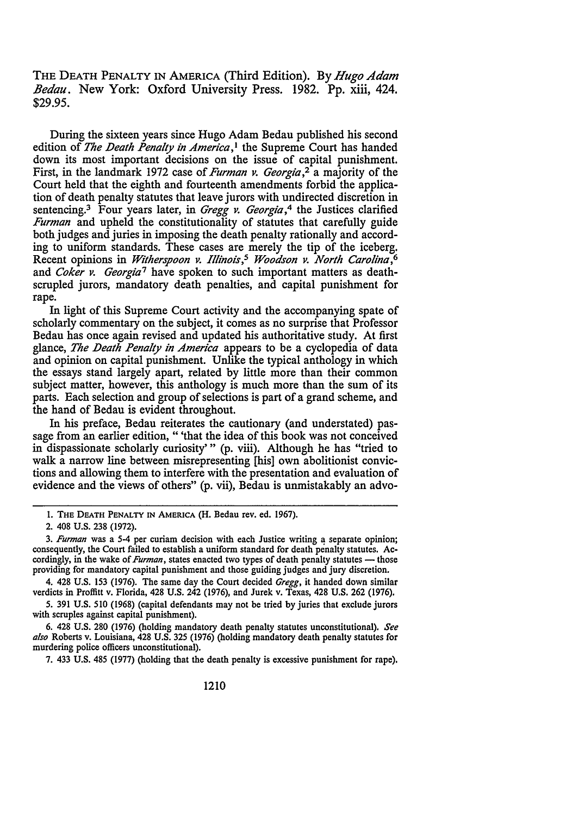THE DEATH PENALTY IN AMERICA (Third Edition). By *Hugo Adam Bedau.* New York: Oxford University Press. 1982. Pp. xiii, 424. \$29.95.

During the sixteen years since Hugo Adam Bedau published his second edition of *The Death Penalty in America*,<sup>1</sup> the Supreme Court has handed down its most important decisions on the issue of capital punishment. First, in the landmark 1972 case of *Furman v. Georgia,2* a majority of the Court held that the eighth and fourteenth amendments forbid the application of death penalty statutes that leave jurors with undirected discretion in sentencing.<sup>3</sup> Four years later, in *Gregg v. Georgia*,<sup>4</sup> the Justices clarified *Furman* and upheld the constitutionality of statutes that carefully guide both judges and juries in imposing the death penalty rationally and according to uniform standards. These cases are merely the tip of the iceberg. Recent opinions in *Witherspoon v. Illinois,5 Woodson v. North Carolina,6*  and *Coker v. Georgia*7 have spoken to such important matters as deathscrupled jurors, mandatory death penalties, and capital punishment for rape.

In light of this Supreme Court activity and the accompanying spate of scholarly commentary on the subject, it comes as no surprise that Professor Bedau has once again revised and updated his authoritative study. At first glance, *The Death Penalty in America* appears to be a cyclopedia of data and opinion on capital punishment. Unlike the typical anthology in which the essays stand largely apart, related by little more than their common subject matter, however, this anthology is much more than the sum of its parts. Each selection and group of selections is part of a grand scheme, and the hand of Bedau is evident throughout.

In his preface, Bedau reiterates the cautionary (and understated) passage from an earlier edition, " 'that the idea of this book was not conceived in dispassionate scholarly curiosity' " (p. viii). Although he has "tried to walk a narrow line between misrepresenting [his] own abolitionist convictions and allowing them to interfere with the presentation and evaluation of evidence and the views of others" (p. vii), Bedau is unmistakably an advo-

7. 433 U.S. 485 (1977) (holding that the death penalty is excessive punishment for rape).

I. THE DEATH PENALTY IN AMERICA (H. Bedau rev. ed. 1967).

<sup>2. 408</sup> U.S. 238 (1972).

<sup>3.</sup> *Furman* was a 5-4 per curiam decision with each Justice writing a separate opinion; consequently, the Court failed to establish a uniform standard for death penalty statutes. Accordingly, in the wake of *Furman*, states enacted two types of death penalty statutes - those providing for mandatory capital punishment and those guiding judges and jury discretion.

<sup>4. 428</sup> U.S. 153 (1976). The same day the Court decided *Gregg,* it handed down similar verdicts in Proffitt v. Florida, 428 U.S. 242 (1976), and Jurek v. Texas, 428 U.S. 262 (1976).

<sup>5. 391</sup> U.S. 510 (1968) (capital defendants may not be tried by juries that exclude jurors with scruples against capital punishment).

<sup>6. 428</sup> U.S. 280 (1976) (holding mandatory death penalty statutes unconstitutional). *See also* Roberts v. Louisiana, 428 U.S. 325 (1976) (holding mandatory death penalty statutes for murdering police officers unconstitutional).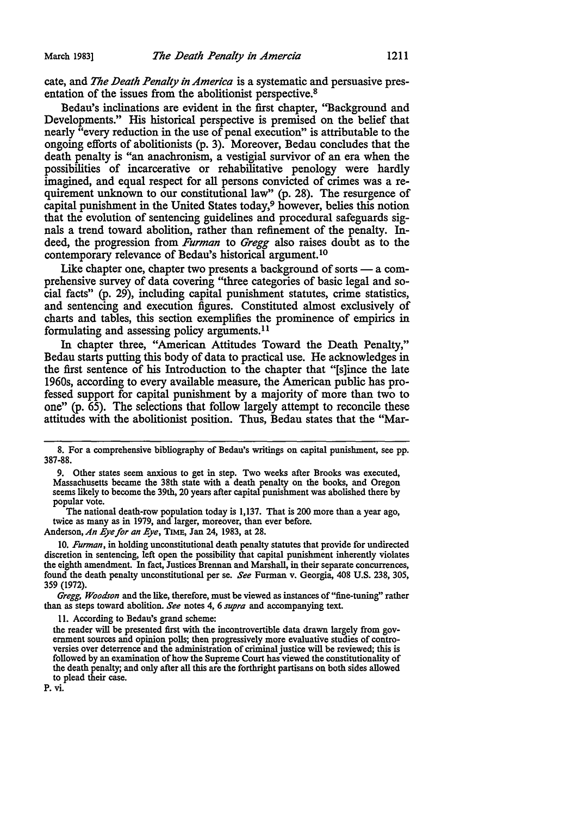cate, and *The Death Penalty in America* is a systematic and persuasive presentation of the issues from the abolitionist perspective.<sup>8</sup>

Bedau's inclinations are evident in the first chapter, ''Background and Developments." His historical perspective is premised on the belief that nearly "every reduction in the use of penal execution" is attributable to the ongoing efforts of abolitionists (p. 3). Moreover, Bedau concludes that the death penalty is "an anachronism, a vestigial survivor of an era when the possibilities of incarcerative or rehabilitative penology were hardly imagined, and equal respect for all persons convicted of crimes was a requirement unknown to our constitutional law" (p. 28). The resurgence of capital punishment in the United States today,<sup>9</sup> however, belies this notion that the evolution of sentencing guidelines and procedural safeguards signals a trend toward abolition, rather than refinement of the penalty. Indeed, the progression from *Furman* to *Gregg* also raises doubt as to the contemporary relevance of Bedau's historical argument.10

Like chapter one, chapter two presents a background of sorts  $-$  a comprehensive survey of data covering "three categories of basic legal and social facts" (p. 29), including capital punishment statutes, crime statistics, and sentencing and execution figures. Constituted almost exclusively of charts and tables, this section exemplifies the prominence of empirics in formulating and assessing policy arguments. <sup>11</sup>

In chapter three, "American Attitudes Toward the Death Penalty," Bedau starts putting this body of data to practical use. He acknowledges in the first sentence of his Introduction to the chapter that "[s]ince the late 1960s, according to every available measure, the American public has professed support for capital punishment by a majority of more than two to one" (p. 65). The selections that follow largely attempt to reconcile these attitudes with the abolitionist position. Thus, Bedau states that the "Mar-

9. Other states seem anxious to get in step. Two weeks after Brooks was executed, Massachusetts became the 38th state with a death penalty on the books, and Oregon seems likely to become the 39th, 20 years after capital punishment was abolished there by popular vote.

The national death-row population today is 1,137. That is 200 more than a year ago, twice as many as in 1979, and larger, moreover, than ever before.

Anderson, *An Eye for an Eye,* TIME, Jan 24, 1983, at 28.

10. *Furman,* in holding unconstitutional death penalty statutes that provide for undirected discretion in sentencing, left open the possibility that capital punishment inherently violates the eighth amendment. In fact, Justices Brennan and Marshall, in their separate concurrences, found the death penalty unconstitutional per se. *See* Furman v. Georgia, 408 U.S. 238, 305, 359 (1972).

*Gregg, Woodson* and the like, therefore, must be viewed as instances of "fine-tuning" rather than as steps toward abolition. *See* notes 4, 6 *supra* and accompanying text.

11. According to Bedau's grand scheme:

the reader will be presented first with the incontrovertible data drawn largely from government sources and opinion polls; then progressively more evaluative studies of controversies over deterrence and the administration of criminal justice will be reviewed; this is followed by an examination of how the Supreme Court has viewed the constitutionality of the death penalty; and only after all this are the forthright partisans on both sides allowed to plead their case.

P. vi.

<sup>8.</sup> For a comprehensive bibliography of Bedau's writings on capital punishment, see pp. 387-88.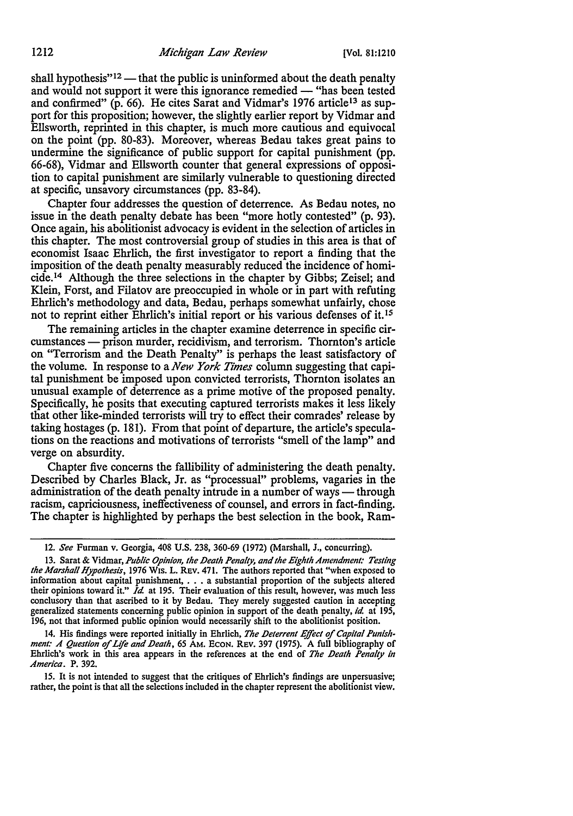shall hypothesis $12$ — that the public is uninformed about the death penalty and would not support it were this ignorance remedied - "has been tested and confirmed"  $(p. 66)$ . He cites Sarat and Vidmar's 1976 article<sup>13</sup> as support for this proposition; however, the slightly earlier report by Vidmar and Ellsworth, reprinted in this chapter, is much more cautious and equivocal on the point (pp. 80-83). Moreover, whereas Bedau talces great pains to undermine the significance of public support for capital punishment (pp. 66-68), Vidmar and Ellsworth counter that general expressions of opposition to capital punishment are similarly vulnerable to questioning directed at specific, unsavory circumstances (pp. 83-84).

Chapter four addresses the question of deterrence. As Bedau notes, no issue in the death penalty debate has been "more hotly contested" (p. 93). Once again, his abolitionist advocacy is evident in the selection of articles in this chapter. The most controversial group of studies in this area is that of economist Isaac Ehrlich, the first investigator to report a finding that the imposition of the death penalty measurably reduced the incidence of homicide.14 Although the three selections in the chapter by Gibbs; Zeise!; and Klein, Forst, and Filatov are preoccupied in whole or in part with refuting Ehrlich's methodology and data, Bedau, perhaps somewhat unfairly, chose not to reprint either Ehrlich's initial report or his various defenses of it. 15

The remaining articles in the chapter examine deterrence in specific circumstances - prison murder, recidivism, and terrorism. Thornton's article on "Terrorism and the Death Penalty" is perhaps the least satisfactory of the volume. In response to a *New York Times* column suggesting that capital punishment be imposed upon convicted terrorists, Thornton isolates an unusual example of deterrence as a prime motive of the proposed penalty. Specifically, he posits that executing captured terrorists makes it less likely that other like-minded terrorists will try to effect their comrades' release by taking hostages (p. 181). From that point of departure, the article's speculations on the reactions and motivations of terrorists "smell of the lamp" and verge on absurdity.

Chapter five concerns the fallibility of administering the death penalty. Described by Charles Black, Jr. as "processual" problems, vagaries in the administration of the death penalty intrude in a number of ways — through racism, capriciousness, ineffectiveness of counsel, and errors in fact-finding. The chapter is highlighted by perhaps the best selection in the book, Ram-

14. His findings were reported initially in Ehrlich, *The Deterrent Effect* of *Capital Punis/1 ment: A Question* of *L!fe and Death,* 65 AM. EcoN. REV. 397 (1975). A full bibliography of Ehrlich's work in this area appears in the references at the end of *The Death Penalty in America.* P. 392.

15. It is not intended to suggest that the critiques of Ehrlich's findings are unpersuasive; rather, the point is that all the selections included in the chapter represent the abolitionist view.

<sup>12.</sup> *See* Furman v. Georgia, 408 U.S. 238, 360-69 (1972) (Marshall, J., concurring).

<sup>13.</sup> Sarat & Vidmar, *Public Opinion, the Death Penalty, and the Eighth Amendment: Testing the Marshall Hypothesis, 1916* Wis. L. REV. 471. The authors reported that "when exposed to information about capital punishment, ... a substantial proportion of the subjects altered their opinions toward it." *Id* at 195. Their evaluation of this result, however, was much less conclusory than that ascribed to it by Bedau. They merely suggested caution in accepting generalized statements concerning public opinion in support of the death penalty, *id* at 195, 196, not that informed public opinion would necessarily shift to the abolitionist position.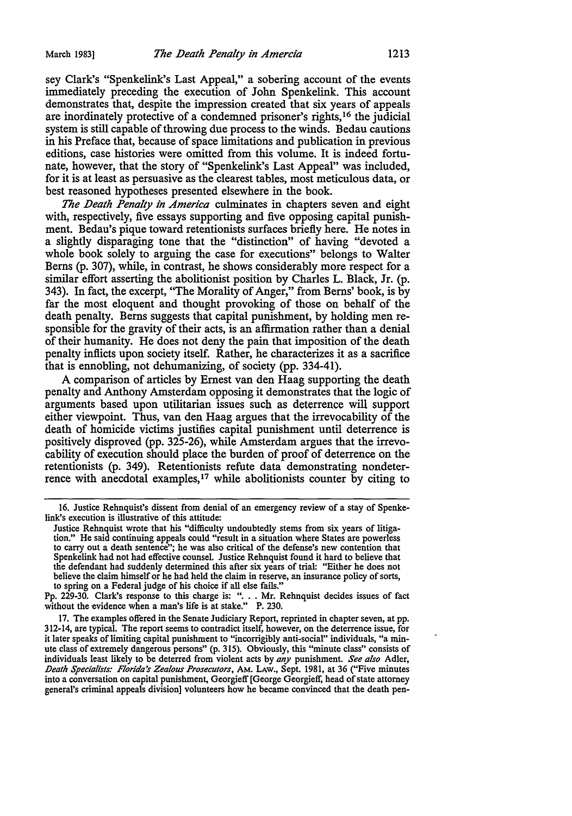sey Clark's "Spenkelink's Last Appeal," a sobering account of the events immediately preceding the execution of John Spenkelink. This account demonstrates that, despite the impression created that six years of appeals are inordinately protective of a condemned prisoner's rights, 16 the judicial system is still capable of throwing due process to the winds. Bedau cautions in his Preface that, because of space limitations and publication in previous editions, case histories were omitted from this volume. It is indeed fortunate, however, that the story of "Spenkelink's Last Appeal" was included, for it is at least as persuasive as the clearest tables, most meticulous data, or best reasoned hypotheses presented elsewhere in the book.

The Death Penalty in America culminates in chapters seven and eight with, respectively, five essays supporting and five opposing capital punishment. Bedau's pique toward retentionists surfaces briefly here. He notes in a slightly disparaging tone that the "distinction" of having "devoted a whole book solely to arguing the case for executions" belongs to Walter Berns (p. 307), while, in contrast, he shows considerably more respect for a similar effort asserting the abolitionist position by Charles L. Black, Jr. (p. 343). In fact, the excerpt, ''The Morality of Anger," from Berns' book, is by far the most eloquent and thought provoking of those on behalf of the death penalty. Berns suggests that capital punishment, by holding men responsible for the gravity of their acts, is an affirmation rather than a denial of their humanity. He does not deny the pain that imposition of the death penalty inflicts upon society itself. Rather, he characterizes it as a sacrifice that is ennobling, not dehumanizing, of society (pp. 334-41).

A comparison of articles by Ernest van den Haag supporting the death penalty and Anthony Amsterdam opposing it demonstrates that the logic of arguments based upon utilitarian issues such as deterrence will support either viewpoint. Thus, van den Haag argues that the irrevocability of the death of homicide victims justifies capital punishment until deterrence is positively disproved (pp. 325-26), while Amsterdam argues that the irrevocability of execution should place the burden of proof of deterrence on the retentionists (p. 349). Retentionists refute data demonstrating nondeterrence with anecdotal examples,<sup>17</sup> while abolitionists counter by citing to

17. The examples offered in the Senate Judiciary Report, reprinted in chapter seven, at pp. 312-14, are typical. The report seems to contradict itself, however, on the deterrence issue, for it later speaks of limiting capital punishment to "incorrigibly anti-social" individuals, "a minute class of extremely dangerous persons" (p. 315). Obviously, this "minute class" consists of individuals least likely to be deterred from violent acts by *any* punishment. *See also* Adler, *Death Specialists: Florida's Zealous Prosecutors,* AM. LAW., Sept. 1981, at 36 ("Five minutes into a conversation on capital punishment, Georgieff [George Georgieff, head of state attorney general's criminal appeals division] volunteers how he became convinced that the death pen-

<sup>16.</sup> Justice Rehnquist's dissent from denial of an emergency review of a stay of Spenkelink's execution is illustrative of this attitude:

Justice Rehnquist wrote that his "difficulty undoubtedly stems from six years of litigation." He said continuing appeals could "result in a situation where States are powerless to carry out a death sentence"; he was also critical of the defense's new contention that Spenkelink had not had effective counsel. Justice Rehnquist found it hard to believe that the defendant had suddenly determined this after six years of trial: "Either he does not believe the claim himself or he had held the claim in reserve, an insurance policy of sorts, to spring on a Federal judge of his choice if all else fails."

Pp. 229-30. Clark's response to this charge is: ". . . Mr. Rehnquist decides issues of fact without the evidence when a man's life is at stake." P. 230.